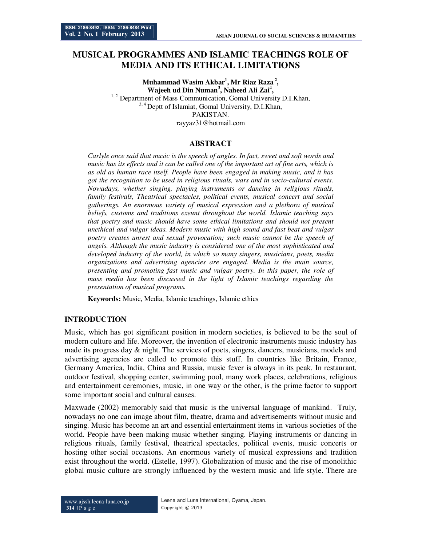# **MUSICAL PROGRAMMES AND ISLAMIC TEACHINGS ROLE OF MEDIA AND ITS ETHICAL LIMITATIONS**

**Muhammad Wasim Akbar<sup>1</sup> , Mr Riaz Raza<sup>2</sup> , Wajeeh ud Din Numan<sup>3</sup> , Naheed Ali Zai<sup>4</sup> ,** <sup>1,2</sup> Department of Mass Communication, Gomal University D.I.Khan, <sup>3, 4</sup> Deptt of Islamiat, Gomal University, D.I.Khan, PAKISTAN. rayyaz31@hotmail.com

#### **ABSTRACT**

*Carlyle once said that music is the speech of angles. In fact, sweet and soft words and music has its effects and it can be called one of the important art of fine arts, which is as old as human race itself. People have been engaged in making music, and it has got the recognition to be used in religious rituals, wars and in socio-cultural events. Nowadays, whether singing, playing instruments or dancing in religious rituals, family festivals, Theatrical spectacles, political events, musical concert and social gatherings. An enormous variety of musical expression and a plethora of musical beliefs, customs and traditions exeunt throughout the world. Islamic teaching says that poetry and music should have some ethical limitations and should not present unethical and vulgar ideas. Modern music with high sound and fast beat and vulgar poetry creates unrest and sexual provocation; such music cannot be the speech of angels. Although the music industry is considered one of the most sophisticated and developed industry of the world, in which so many singers, musicians, poets, media organizations and advertising agencies are engaged. Media is the main source, presenting and promoting fast music and vulgar poetry. In this paper, the role of mass media has been discussed in the light of Islamic teachings regarding the presentation of musical programs.* 

**Keywords:** Music, Media, Islamic teachings, Islamic ethics

#### **INTRODUCTION**

Music, which has got significant position in modern societies, is believed to be the soul of modern culture and life. Moreover, the invention of electronic instruments music industry has made its progress day & night. The services of poets, singers, dancers, musicians, models and advertising agencies are called to promote this stuff. In countries like Britain, France, Germany America, India, China and Russia, music fever is always in its peak. In restaurant, outdoor festival, shopping center, swimming pool, many work places, celebrations, religious and entertainment ceremonies, music, in one way or the other, is the prime factor to support some important social and cultural causes.

Maxwade (2002) memorably said that music is the universal language of mankind. Truly, nowadays no one can image about film, theatre, drama and advertisements without music and singing. Music has become an art and essential entertainment items in various societies of the world. People have been making music whether singing. Playing instruments or dancing in religious rituals, family festival, theatrical spectacles, political events, music concerts or hosting other social occasions. An enormous variety of musical expressions and tradition exist throughout the world. (Estelle, 1997). Globalization of music and the rise of monolithic global music culture are strongly influenced by the western music and life style. There are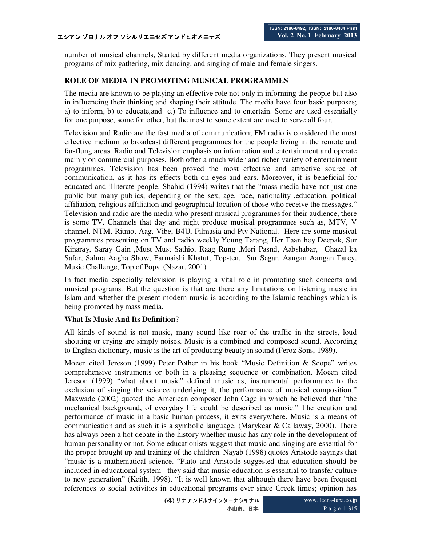number of musical channels, Started by different media organizations. They present musical programs of mix gathering, mix dancing, and singing of male and female singers.

## **ROLE OF MEDIA IN PROMOTING MUSICAL PROGRAMMES**

The media are known to be playing an effective role not only in informing the people but also in influencing their thinking and shaping their attitude. The media have four basic purposes; a) to inform, b) to educate,and c.) To influence and to entertain. Some are used essentially for one purpose, some for other, but the most to some extent are used to serve all four.

Television and Radio are the fast media of communication; FM radio is considered the most effective medium to broadcast different programmes for the people living in the remote and far-flung areas. Radio and Television emphasis on information and entertainment and operate mainly on commercial purposes. Both offer a much wider and richer variety of entertainment programmes. Television has been proved the most effective and attractive source of communication, as it has its effects both on eyes and ears. Moreover, it is beneficial for educated and illiterate people. Shahid (1994) writes that the "mass media have not just one public but many publics, depending on the sex, age, race, nationality ,education, political affiliation, religious affiliation and geographical location of those who receive the messages." Television and radio are the media who present musical programmes for their audience, there is some TV. Channels that day and night produce musical programmes such as, MTV, V channel, NTM, Ritmo, Aag, Vibe, B4U, Filmasia and Ptv National. Here are some musical programmes presenting on TV and radio weekly.Young Tarang, Her Taan hey Deepak, Sur Kinaray, Saray Gain ,Must Must Sathio, Raag Rung ,Meri Pasnd, Aabshabar, Ghazal ka Safar, Salma Aagha Show, Farmaishi Khatut, Top-ten, Sur Sagar, Aangan Aangan Tarey, Music Challenge, Top of Pops. (Nazar, 2001)

In fact media especially television is playing a vital role in promoting such concerts and musical programs. But the question is that are there any limitations on listening music in Islam and whether the present modern music is according to the Islamic teachings which is being promoted by mass media.

## **What Is Music And Its Definition**?

All kinds of sound is not music, many sound like roar of the traffic in the streets, loud shouting or crying are simply noises. Music is a combined and composed sound. According to English dictionary, music is the art of producing beauty in sound (Feroz Sons, 1989).

Moeen cited Jereson (1999) Peter Pother in his book "Music Definition & Scope" writes comprehensive instruments or both in a pleasing sequence or combination. Moeen cited Jereson (1999) "what about music" defined music as, instrumental performance to the exclusion of singing the science underlying it, the performance of musical composition." Maxwade (2002) quoted the American composer John Cage in which he believed that "the mechanical background, of everyday life could be described as music." The creation and performance of music in a basic human process, it exits everywhere. Music is a means of communication and as such it is a symbolic language. (Marykear  $\&$  Callaway, 2000). There has always been a hot debate in the history whether music has any role in the development of human personality or not. Some educationists suggest that music and singing are essential for the proper brought up and training of the children. Nayab (1998) quotes Aristotle sayings that "music is a mathematical science. "Plato and Aristotle suggested that education should be included in educational system they said that music education is essential to transfer culture to new generation" (Keith, 1998). "It is well known that although there have been frequent references to social activities in educational programs ever since Greek times; opinion has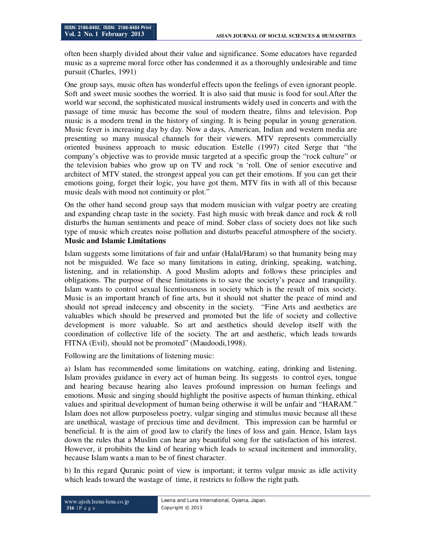often been sharply divided about their value and significance. Some educators have regarded music as a supreme moral force other has condemned it as a thoroughly undesirable and time pursuit (Charles, 1991)

One group says, music often has wonderful effects upon the feelings of even ignorant people. Soft and sweet music soothes the worried. It is also said that music is food for soul.After the world war second, the sophisticated musical instruments widely used in concerts and with the passage of time music has become the soul of modern theatre, films and television. Pop music is a modern trend in the history of singing. It is being popular in young generation. Music fever is increasing day by day. Now a days, American, Indian and western media are presenting so many musical channels for their viewers. MTV represents commercially oriented business approach to music education. Estelle (1997) cited Serge that "the company's objective was to provide music targeted at a specific group the "rock culture" or the television babies who grow up on TV and rock 'n 'roll. One of senior executive and architect of MTV stated, the strongest appeal you can get their emotions. If you can get their emotions going, forget their logic, you have got them, MTV fits in with all of this because music deals with mood not continuity or plot."

On the other hand second group says that modern musician with vulgar poetry are creating and expanding cheap taste in the society. Fast high music with break dance and rock & roll disturbs the human sentiments and peace of mind. Sober class of society does not like such type of music which creates noise pollution and disturbs peaceful atmosphere of the society. **Music and Islamic Limitations**

Islam suggests some limitations of fair and unfair (Halal/Haram) so that humanity being may not be misguided. We face so many limitations in eating, drinking, speaking, watching, listening, and in relationship. A good Muslim adopts and follows these principles and obligations. The purpose of these limitations is to save the society's peace and tranquility. Islam wants to control sexual licentiousness in society which is the result of mix society. Music is an important branch of fine arts, but it should not shatter the peace of mind and should not spread indecency and obscenity in the society. "Fine Arts and aesthetics are valuables which should be preserved and promoted but the life of society and collective development is more valuable. So art and aesthetics should develop itself with the coordination of collective life of the society. The art and aesthetic, which leads towards FITNA (Evil), should not be promoted" (Maudoodi,1998).

Following are the limitations of listening music:

a) Islam has recommended some limitations on watching, eating, drinking and listening. Islam provides guidance in every act of human being. Its suggests to control eyes, tongue and hearing because hearing also leaves profound impression on human feelings and emotions. Music and singing should highlight the positive aspects of human thinking, ethical values and spiritual development of human being otherwise it will be unfair and "HARAM." Islam does not allow purposeless poetry, vulgar singing and stimulus music because all these are unethical, wastage of precious time and devilment. This impression can be harmful or beneficial. It is the aim of good law to clarify the lines of loss and gain. Hence, Islam lays down the rules that a Muslim can hear any beautiful song for the satisfaction of his interest. However, it prohibits the kind of hearing which leads to sexual incitement and immorality, because Islam wants a man to be of finest character.

b) In this regard Quranic point of view is important; it terms vulgar music as idle activity which leads toward the wastage of time, it restricts to follow the right path.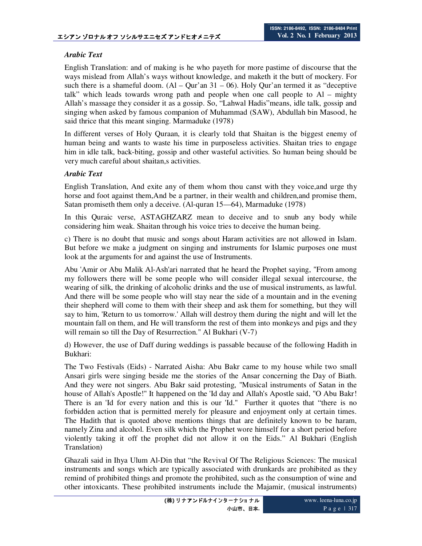## *Arabic Text*

English Translation: and of making is he who payeth for more pastime of discourse that the ways mislead from Allah's ways without knowledge, and maketh it the butt of mockery. For such there is a shameful doom.  $(AI - Qur'an 31 - 06)$ . Holy Qur'an termed it as "deceptive talk" which leads towards wrong path and people when one call people to Al – mighty Allah's massage they consider it as a gossip. So, "Lahwal Hadis"means, idle talk, gossip and singing when asked by famous companion of Muhammad (SAW), Abdullah bin Masood, he said thrice that this meant singing. Marmaduke (1978)

In different verses of Holy Quraan, it is clearly told that Shaitan is the biggest enemy of human being and wants to waste his time in purposeless activities. Shaitan tries to engage him in idle talk, back-biting, gossip and other wasteful activities. So human being should be very much careful about shaitan,s activities.

#### *Arabic Text*

English Translation, And exite any of them whom thou canst with they voice,and urge thy horse and foot against them,And be a partner, in their wealth and children,and promise them, Satan promiseth them only a deceive. (Al-quran 15—64), Marmaduke (1978)

In this Quraic verse, ASTAGHZARZ mean to deceive and to snub any body while considering him weak. Shaitan through his voice tries to deceive the human being.

c) There is no doubt that music and songs about Haram activities are not allowed in Islam. But before we make a judgment on singing and instruments for Islamic purposes one must look at the arguments for and against the use of Instruments.

Abu 'Amir or Abu Malik Al-Ash'ari narrated that he heard the Prophet saying, "From among my followers there will be some people who will consider illegal sexual intercourse, the wearing of silk, the drinking of alcoholic drinks and the use of musical instruments, as lawful. And there will be some people who will stay near the side of a mountain and in the evening their shepherd will come to them with their sheep and ask them for something, but they will say to him, 'Return to us tomorrow.' Allah will destroy them during the night and will let the mountain fall on them, and He will transform the rest of them into monkeys and pigs and they will remain so till the Day of Resurrection." Al Bukhari (V-7)

d) However, the use of Daff during weddings is passable because of the following Hadith in Bukhari:

The Two Festivals (Eids) - Narrated Aisha: Abu Bakr came to my house while two small Ansari girls were singing beside me the stories of the Ansar concerning the Day of Biath. And they were not singers. Abu Bakr said protesting, "Musical instruments of Satan in the house of Allah's Apostle!" It happened on the 'Id day and Allah's Apostle said, "O Abu Bakr! There is an 'Id for every nation and this is our 'Id." Further it quotes that "there is no forbidden action that is permitted merely for pleasure and enjoyment only at certain times. The Hadith that is quoted above mentions things that are definitely known to be haram, namely Zina and alcohol. Even silk which the Prophet wore himself for a short period before violently taking it off the prophet did not allow it on the Eids." Al Bukhari (English Translation)

Ghazali said in Ihya Ulum Al-Din that "the Revival Of The Religious Sciences: The musical instruments and songs which are typically associated with drunkards are prohibited as they remind of prohibited things and promote the prohibited, such as the consumption of wine and other intoxicants. These prohibited instruments include the Majamir, (musical instruments)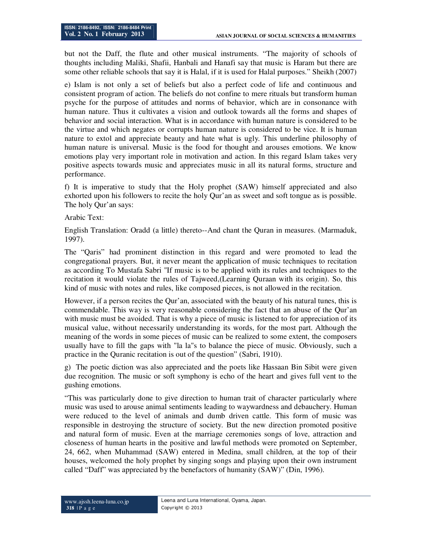but not the Daff, the flute and other musical instruments. "The majority of schools of thoughts including Maliki, Shafii, Hanbali and Hanafi say that music is Haram but there are some other reliable schools that say it is Halal, if it is used for Halal purposes." Sheikh (2007)

e) Islam is not only a set of beliefs but also a perfect code of life and continuous and consistent program of action. The beliefs do not confine to mere rituals but transform human psyche for the purpose of attitudes and norms of behavior, which are in consonance with human nature. Thus it cultivates a vision and outlook towards all the forms and shapes of behavior and social interaction. What is in accordance with human nature is considered to be the virtue and which negates or corrupts human nature is considered to be vice. It is human nature to extol and appreciate beauty and hate what is ugly. This underline philosophy of human nature is universal. Music is the food for thought and arouses emotions. We know emotions play very important role in motivation and action. In this regard Islam takes very positive aspects towards music and appreciates music in all its natural forms, structure and performance.

f) It is imperative to study that the Holy prophet (SAW) himself appreciated and also exhorted upon his followers to recite the holy Qur'an as sweet and soft tongue as is possible. The holy Qur'an says:

Arabic Text:

English Translation: Oradd (a little) thereto--And chant the Quran in measures. (Marmaduk, 1997).

The "Qaris" had prominent distinction in this regard and were promoted to lead the congregational prayers. But, it never meant the application of music techniques to recitation as according To Mustafa Sabri "If music is to be applied with its rules and techniques to the recitation it would violate the rules of Tajweed,(Learning Quraan with its origin). So, this kind of music with notes and rules, like composed pieces, is not allowed in the recitation.

However, if a person recites the Qur'an, associated with the beauty of his natural tunes, this is commendable. This way is very reasonable considering the fact that an abuse of the Qur'an with music must be avoided. That is why a piece of music is listened to for appreciation of its musical value, without necessarily understanding its words, for the most part. Although the meaning of the words in some pieces of music can be realized to some extent, the composers usually have to fill the gaps with "la la"s to balance the piece of music. Obviously, such a practice in the Quranic recitation is out of the question" (Sabri, 1910).

g) The poetic diction was also appreciated and the poets like Hassaan Bin Sibit were given due recognition. The music or soft symphony is echo of the heart and gives full vent to the gushing emotions.

"This was particularly done to give direction to human trait of character particularly where music was used to arouse animal sentiments leading to waywardness and debauchery. Human were reduced to the level of animals and dumb driven cattle. This form of music was responsible in destroying the structure of society. But the new direction promoted positive and natural form of music. Even at the marriage ceremonies songs of love, attraction and closeness of human hearts in the positive and lawful methods were promoted on September, 24, 662, when Muhammad (SAW) entered in Medina, small children, at the top of their houses, welcomed the holy prophet by singing songs and playing upon their own instrument called "Daff" was appreciated by the benefactors of humanity (SAW)" (Din, 1996).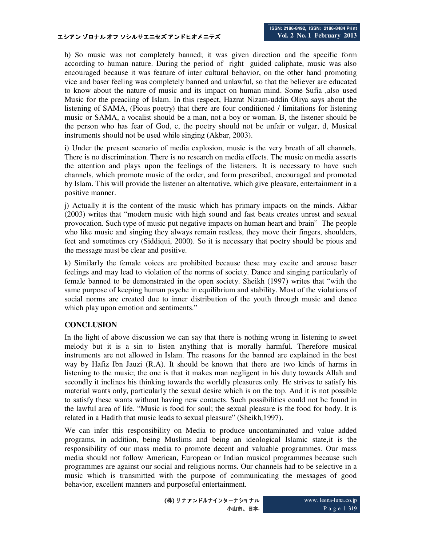h) So music was not completely banned; it was given direction and the specific form according to human nature. During the period of right guided caliphate, music was also encouraged because it was feature of inter cultural behavior, on the other hand promoting vice and baser feeling was completely banned and unlawful, so that the believer are educated to know about the nature of music and its impact on human mind. Some Sufia ,also used Music for the preaciing of Islam. In this respect, Hazrat Nizam-uddin Oliya says about the listening of SAMA, (Pious poetry) that there are four conditioned / limitations for listening music or SAMA, a vocalist should be a man, not a boy or woman. B, the listener should be the person who has fear of God, c, the poetry should not be unfair or vulgar, d, Musical instruments should not be used while singing (Akbar, 2003).

i) Under the present scenario of media explosion, music is the very breath of all channels. There is no discrimination. There is no research on media effects. The music on media asserts the attention and plays upon the feelings of the listeners. It is necessary to have such channels, which promote music of the order, and form prescribed, encouraged and promoted by Islam. This will provide the listener an alternative, which give pleasure, entertainment in a positive manner.

j) Actually it is the content of the music which has primary impacts on the minds. Akbar (2003) writes that "modern music with high sound and fast beats creates unrest and sexual provocation. Such type of music put negative impacts on human heart and brain" The people who like music and singing they always remain restless, they move their fingers, shoulders, feet and sometimes cry (Siddiqui, 2000). So it is necessary that poetry should be pious and the message must be clear and positive.

k) Similarly the female voices are prohibited because these may excite and arouse baser feelings and may lead to violation of the norms of society. Dance and singing particularly of female banned to be demonstrated in the open society. Sheikh (1997) writes that "with the same purpose of keeping human psyche in equilibrium and stability. Most of the violations of social norms are created due to inner distribution of the youth through music and dance which play upon emotion and sentiments."

## **CONCLUSION**

In the light of above discussion we can say that there is nothing wrong in listening to sweet melody but it is a sin to listen anything that is morally harmful. Therefore musical instruments are not allowed in Islam. The reasons for the banned are explained in the best way by Hafiz Ibn Jauzi (R.A). It should be known that there are two kinds of harms in listening to the music; the one is that it makes man negligent in his duty towards Allah and secondly it inclines his thinking towards the worldly pleasures only. He strives to satisfy his material wants only, particularly the sexual desire which is on the top. And it is not possible to satisfy these wants without having new contacts. Such possibilities could not be found in the lawful area of life. "Music is food for soul; the sexual pleasure is the food for body. It is related in a Hadith that music leads to sexual pleasure" (Sheikh,1997).

We can infer this responsibility on Media to produce uncontaminated and value added programs, in addition, being Muslims and being an ideological Islamic state,it is the responsibility of our mass media to promote decent and valuable programmes. Our mass media should not follow American, European or Indian musical programmes because such programmes are against our social and religious norms. Our channels had to be selective in a music which is transmitted with the purpose of communicating the messages of good behavior, excellent manners and purposeful entertainment.